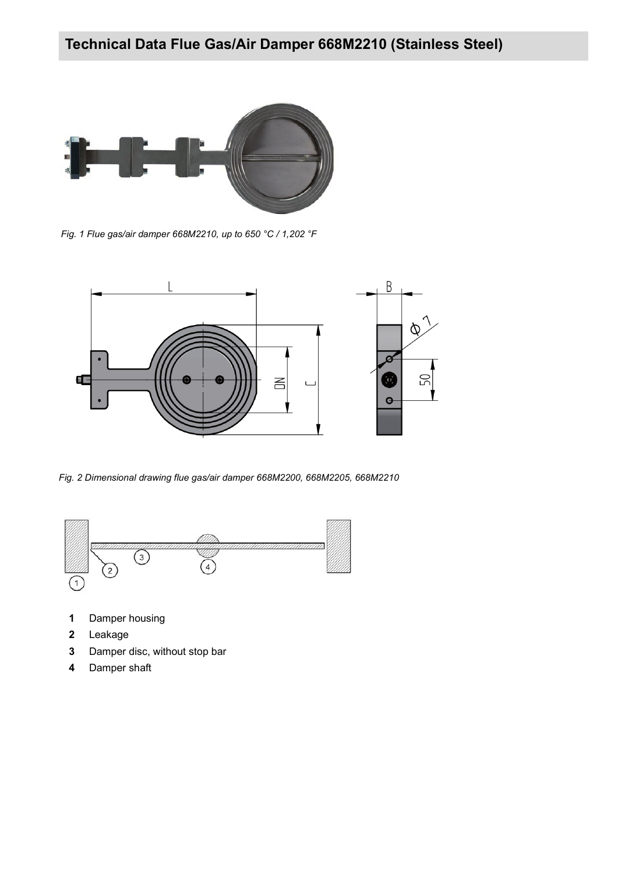

*Fig. 1 Flue gas/air damper 668M2210, up to 650 °C / 1,202 °F*



*Fig. 2 Dimensional drawing flue gas/air damper 668M2200, 668M2205, 668M2210*



- **1** Damper housing
- **2** Leakage
- **3** Damper disc, without stop bar
- **4** Damper shaft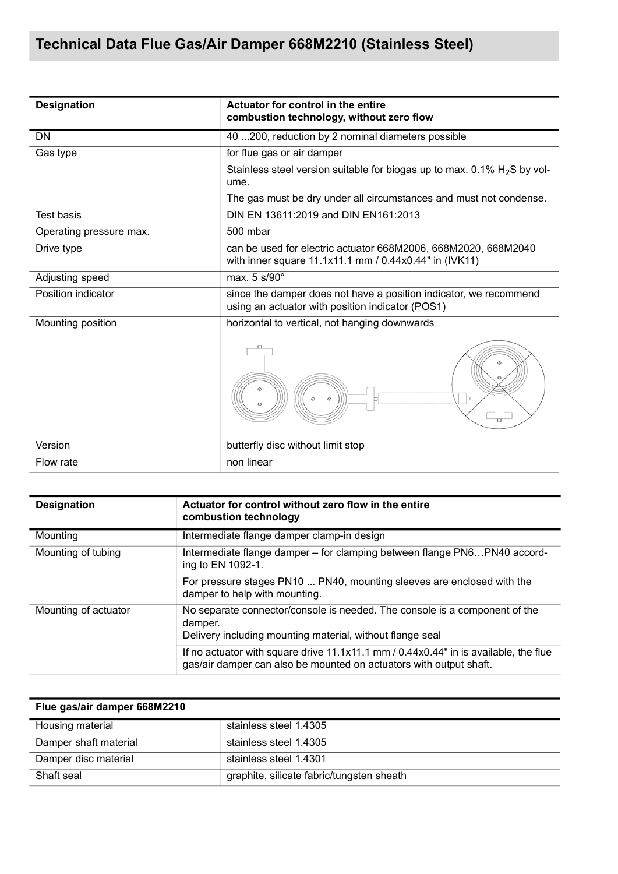| <b>Designation</b>      | Actuator for control in the entire<br>combustion technology, without zero flow                                           |  |  |
|-------------------------|--------------------------------------------------------------------------------------------------------------------------|--|--|
| <b>DN</b>               | 40  200, reduction by 2 nominal diameters possible                                                                       |  |  |
| Gas type                | for flue gas or air damper                                                                                               |  |  |
|                         | Stainless steel version suitable for biogas up to max. 0.1% $H2S$ by vol-<br>ume.                                        |  |  |
|                         | The gas must be dry under all circumstances and must not condense.                                                       |  |  |
| <b>Test basis</b>       | DIN EN 13611:2019 and DIN EN161:2013                                                                                     |  |  |
| Operating pressure max. | 500 mbar                                                                                                                 |  |  |
| Drive type              | can be used for electric actuator 668M2006, 668M2020, 668M2040<br>with inner square 11.1x11.1 mm / 0.44x0.44" in (IVK11) |  |  |
| Adjusting speed         | max. 5 s/90°                                                                                                             |  |  |
| Position indicator      | since the damper does not have a position indicator, we recommend<br>using an actuator with position indicator (POS1)    |  |  |
| Mounting position       | horizontal to vertical, not hanging downwards                                                                            |  |  |
|                         | $\odot$<br>$\odot$<br>$\odot$<br>$\odot$                                                                                 |  |  |
| Version                 | butterfly disc without limit stop                                                                                        |  |  |
| Flow rate               | non linear                                                                                                               |  |  |

| <b>Designation</b>   | Actuator for control without zero flow in the entire<br>combustion technology                                                                              |
|----------------------|------------------------------------------------------------------------------------------------------------------------------------------------------------|
| Mounting             | Intermediate flange damper clamp-in design                                                                                                                 |
| Mounting of tubing   | Intermediate flange damper - for clamping between flange PN6PN40 accord-<br>ing to EN 1092-1.                                                              |
|                      | For pressure stages PN10  PN40, mounting sleeves are enclosed with the<br>damper to help with mounting.                                                    |
| Mounting of actuator | No separate connector/console is needed. The console is a component of the<br>damper.<br>Delivery including mounting material, without flange seal         |
|                      | If no actuator with square drive 11.1x11.1 mm / 0.44x0.44" in is available, the flue<br>gas/air damper can also be mounted on actuators with output shaft. |

| Flue gas/air damper 668M2210 |                                           |
|------------------------------|-------------------------------------------|
| Housing material             | stainless steel 1.4305                    |
| Damper shaft material        | stainless steel 1.4305                    |
| Damper disc material         | stainless steel 1.4301                    |
| Shaft seal                   | graphite, silicate fabric/tungsten sheath |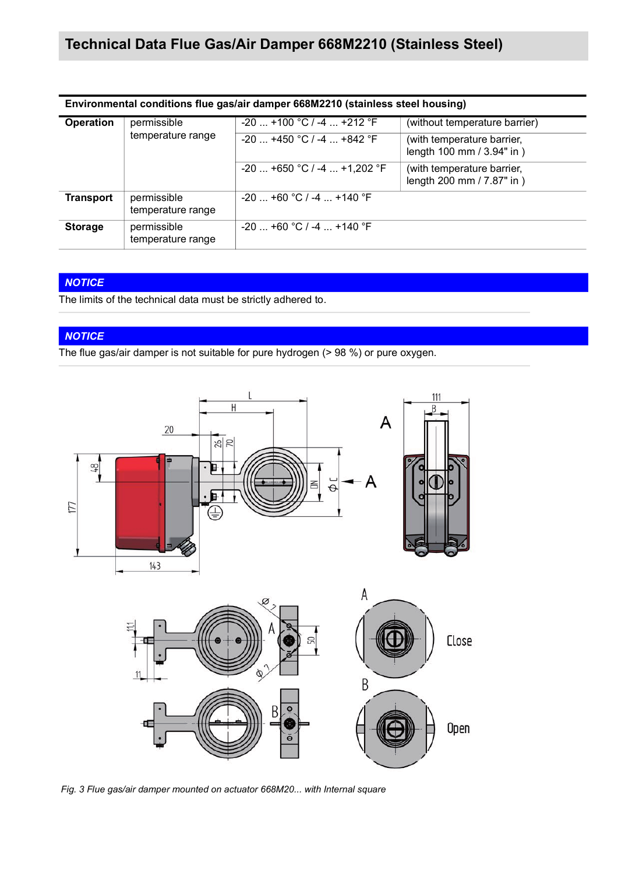| Environmental conditions flue gas/air damper 668M2210 (stainless steel housing) |                                  |                                                            |                                                                                           |  |  |
|---------------------------------------------------------------------------------|----------------------------------|------------------------------------------------------------|-------------------------------------------------------------------------------------------|--|--|
| <b>Operation</b>                                                                | permissible<br>temperature range | $-20$ +100 °C / -4  +212 °F<br>$-20$ +450 °C / -4  +842 °F | (without temperature barrier)<br>(with temperature barrier,<br>length 100 mm / 3.94" in ) |  |  |
|                                                                                 |                                  | $-20$ +650 °C / -4  +1,202 °F                              | (with temperature barrier,<br>length 200 mm / 7.87" in )                                  |  |  |
| <b>Transport</b>                                                                | permissible<br>temperature range | $-20$ +60 °C / -4  +140 °F                                 |                                                                                           |  |  |
| <b>Storage</b>                                                                  | permissible<br>temperature range | $-20$ +60 °C / -4  +140 °F                                 |                                                                                           |  |  |

#### *NOTICE*

The limits of the technical data must be strictly adhered to.

#### *NOTICE*

The flue gas/air damper is not suitable for pure hydrogen (> 98 %) or pure oxygen.



*Fig. 3 Flue gas/air damper mounted on actuator 668M20... with Internal square*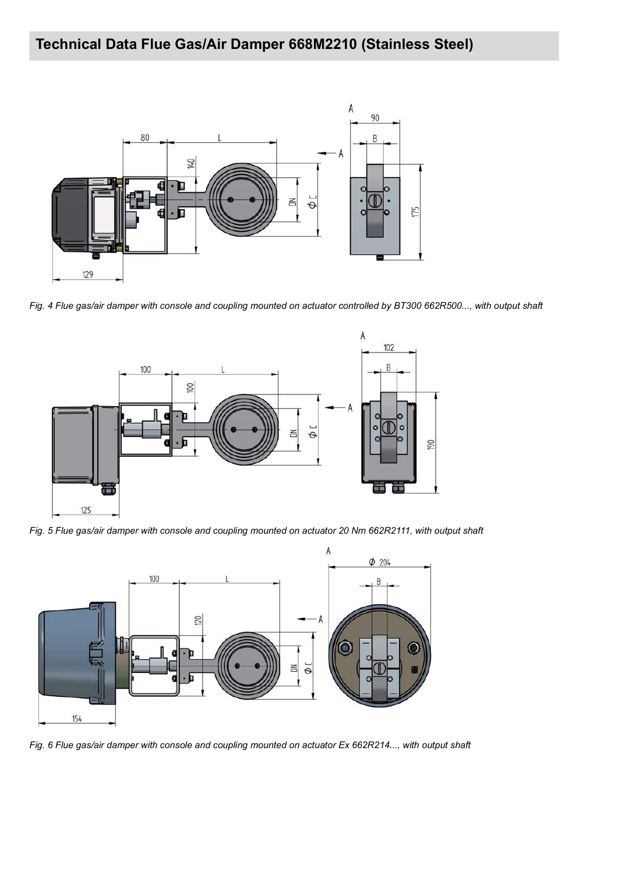

*Fig. 4 Flue gas/air damper with console and coupling mounted on actuator controlled by BT300 662R500..., with output shaft*



*Fig. 5 Flue gas/air damper with console and coupling mounted on actuator 20 Nm 662R2111, with output shaft*



*Fig. 6 Flue gas/air damper with console and coupling mounted on actuator Ex 662R214..., with output shaft*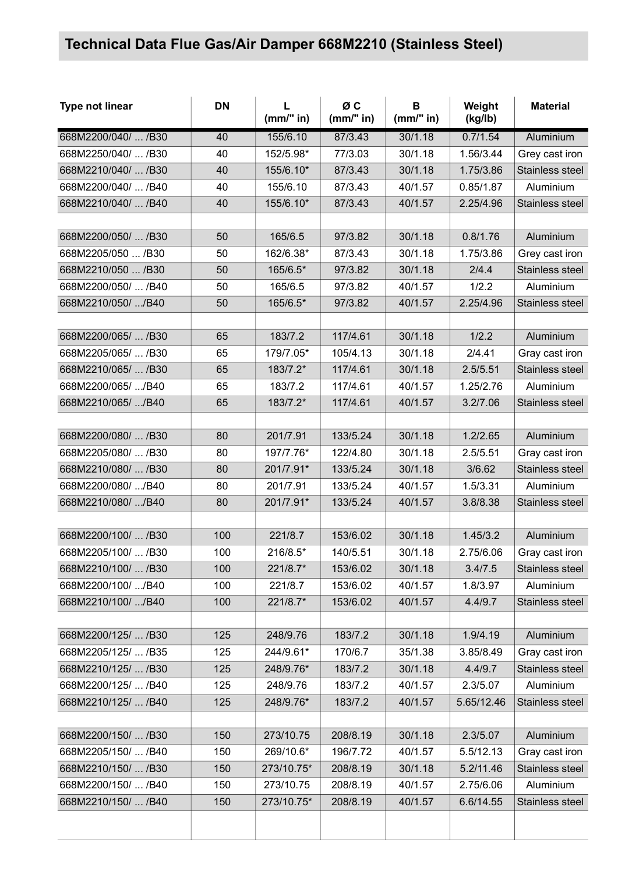| Type not linear     | <b>DN</b> | L<br>(mm" in) | ØC<br>(mm" in) | B<br>(mm" in) | Weight<br>(kg/lb) | <b>Material</b> |
|---------------------|-----------|---------------|----------------|---------------|-------------------|-----------------|
| 668M2200/040/  /B30 | 40        | 155/6.10      | 87/3.43        | 30/1.18       | 0.7/1.54          | Aluminium       |
| 668M2250/040/  /B30 | 40        | 152/5.98*     | 77/3.03        | 30/1.18       | 1.56/3.44         | Grey cast iron  |
| 668M2210/040/  /B30 | 40        | 155/6.10*     | 87/3.43        | 30/1.18       | 1.75/3.86         | Stainless steel |
| 668M2200/040/  /B40 | 40        | 155/6.10      | 87/3.43        | 40/1.57       | 0.85/1.87         | Aluminium       |
| 668M2210/040/  /B40 | 40        | 155/6.10*     | 87/3.43        | 40/1.57       | 2.25/4.96         | Stainless steel |
|                     |           |               |                |               |                   |                 |
| 668M2200/050/  /B30 | 50        | 165/6.5       | 97/3.82        | 30/1.18       | 0.8/1.76          | Aluminium       |
| 668M2205/050  /B30  | 50        | 162/6.38*     | 87/3.43        | 30/1.18       | 1.75/3.86         | Grey cast iron  |
| 668M2210/050  /B30  | 50        | 165/6.5*      | 97/3.82        | 30/1.18       | 2/4.4             | Stainless steel |
| 668M2200/050/  /B40 | 50        | 165/6.5       | 97/3.82        | 40/1.57       | 1/2.2             | Aluminium       |
| 668M2210/050/ /B40  | 50        | 165/6.5*      | 97/3.82        | 40/1.57       | 2.25/4.96         | Stainless steel |
|                     |           |               |                |               |                   |                 |
| 668M2200/065/  /B30 | 65        | 183/7.2       | 117/4.61       | 30/1.18       | 1/2.2             | Aluminium       |
| 668M2205/065/  /B30 | 65        | 179/7.05*     | 105/4.13       | 30/1.18       | 2/4.41            | Gray cast iron  |
| 668M2210/065/  /B30 | 65        | 183/7.2*      | 117/4.61       | 30/1.18       | 2.5/5.51          | Stainless steel |
| 668M2200/065/ /B40  | 65        | 183/7.2       | 117/4.61       | 40/1.57       | 1.25/2.76         | Aluminium       |
| 668M2210/065/ /B40  | 65        | 183/7.2*      | 117/4.61       | 40/1.57       | 3.2/7.06          | Stainless steel |
|                     |           |               |                |               |                   |                 |
| 668M2200/080/  /B30 | 80        | 201/7.91      | 133/5.24       | 30/1.18       | 1.2/2.65          | Aluminium       |
| 668M2205/080/  /B30 | 80        | 197/7.76*     | 122/4.80       | 30/1.18       | 2.5/5.51          | Gray cast iron  |
| 668M2210/080/  /B30 | 80        | 201/7.91*     | 133/5.24       | 30/1.18       | 3/6.62            | Stainless steel |
| 668M2200/080/ /B40  | 80        | 201/7.91      | 133/5.24       | 40/1.57       | 1.5/3.31          | Aluminium       |
| 668M2210/080/ /B40  | 80        | 201/7.91*     | 133/5.24       | 40/1.57       | 3.8/8.38          | Stainless steel |
|                     |           |               |                |               |                   |                 |
| 668M2200/100/  /B30 | 100       | 221/8.7       | 153/6.02       | 30/1.18       | 1.45/3.2          | Aluminium       |
| 668M2205/100/  /B30 | 100       | 216/8.5*      | 140/5.51       | 30/1.18       | 2.75/6.06         | Gray cast iron  |
| 668M2210/100/  /B30 | 100       | 221/8.7*      | 153/6.02       | 30/1.18       | 3.4/7.5           | Stainless steel |
| 668M2200/100/ /B40  | 100       | 221/8.7       | 153/6.02       | 40/1.57       | 1.8/3.97          | Aluminium       |
| 668M2210/100/ /B40  | 100       | 221/8.7*      | 153/6.02       | 40/1.57       | 4.4/9.7           | Stainless steel |
|                     |           |               |                |               |                   |                 |
| 668M2200/125/  /B30 | 125       | 248/9.76      | 183/7.2        | 30/1.18       | 1.9/4.19          | Aluminium       |
| 668M2205/125/  /B35 | 125       | 244/9.61*     | 170/6.7        | 35/1.38       | 3.85/8.49         | Gray cast iron  |
| 668M2210/125/  /B30 | 125       | 248/9.76*     | 183/7.2        | 30/1.18       | 4.4/9.7           | Stainless steel |
| 668M2200/125/  /B40 | 125       | 248/9.76      | 183/7.2        | 40/1.57       | 2.3/5.07          | Aluminium       |
| 668M2210/125/  /B40 | 125       | 248/9.76*     | 183/7.2        | 40/1.57       | 5.65/12.46        | Stainless steel |
|                     |           |               |                |               |                   |                 |
| 668M2200/150/  /B30 | 150       | 273/10.75     | 208/8.19       | 30/1.18       | 2.3/5.07          | Aluminium       |
| 668M2205/150/  /B40 | 150       | 269/10.6*     | 196/7.72       | 40/1.57       | 5.5/12.13         | Gray cast iron  |
| 668M2210/150/  /B30 | 150       | 273/10.75*    | 208/8.19       | 30/1.18       | 5.2/11.46         | Stainless steel |
| 668M2200/150/  /B40 | 150       | 273/10.75     | 208/8.19       | 40/1.57       | 2.75/6.06         | Aluminium       |
| 668M2210/150/  /B40 | 150       | 273/10.75*    | 208/8.19       | 40/1.57       | 6.6/14.55         | Stainless steel |
|                     |           |               |                |               |                   |                 |
|                     |           |               |                |               |                   |                 |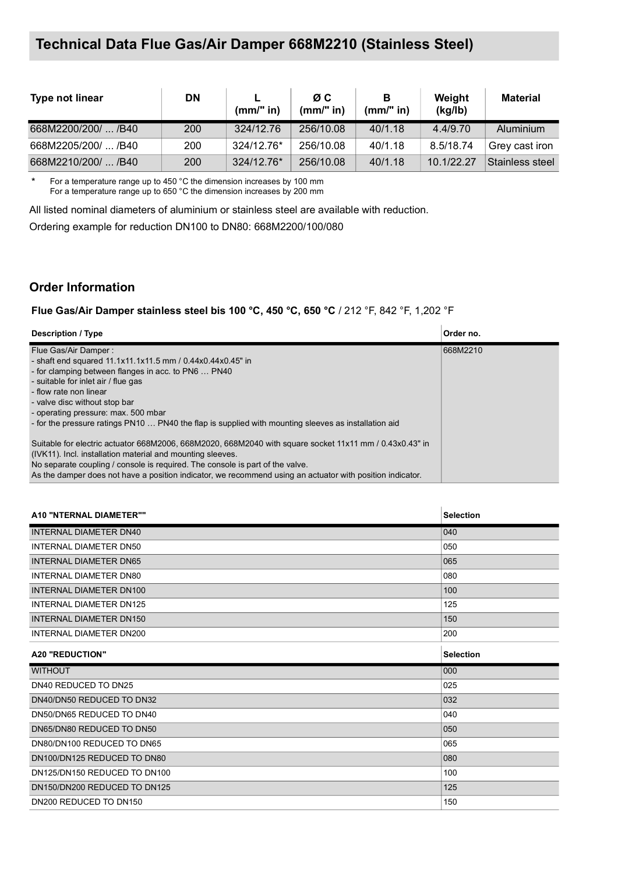| Type not linear     | <b>DN</b> | $(mm)$ " in) | ØC.<br>(mm/" in) | в<br>(mm/" in) | Weight<br>(kg/lb) | <b>Material</b> |
|---------------------|-----------|--------------|------------------|----------------|-------------------|-----------------|
| 668M2200/200/  /B40 | 200       | 324/12.76    | 256/10.08        | 40/1.18        | 4.4/9.70          | Aluminium       |
| 668M2205/200/  /B40 | 200       | 324/12.76*   | 256/10.08        | 40/1.18        | 8.5/18.74         | Grev cast iron  |
| 668M2210/200/  /B40 | 200       | 324/12.76*   | 256/10.08        | 40/1.18        | 10.1/22.27        | Stainless steel |

\* For a temperature range up to 450 °C the dimension increases by 100 mm For a temperature range up to 650 °C the dimension increases by 200 mm

All listed nominal diameters of aluminium or stainless steel are available with reduction.

Ordering example for reduction DN100 to DN80: 668M2200/100/080

### **Order Information**

**Flue Gas/Air Damper stainless steel bis 100 °C, 450 °C, 650 °C** / 212 °F, 842 °F, 1,202 °F

| <b>Description / Type</b>                                                                                 | Order no. |
|-----------------------------------------------------------------------------------------------------------|-----------|
| Flue Gas/Air Damper:                                                                                      | 668M2210  |
| - shaft end squared 11.1x11.1x11.5 mm / 0.44x0.44x0.45" in                                                |           |
| - for clamping between flanges in acc. to PN6  PN40                                                       |           |
| - suitable for inlet air / flue gas                                                                       |           |
| - flow rate non linear                                                                                    |           |
| - valve disc without stop bar                                                                             |           |
| - operating pressure: max. 500 mbar                                                                       |           |
| - for the pressure ratings PN10  PN40 the flap is supplied with mounting sleeves as installation aid      |           |
| Suitable for electric actuator 668M2006, 668M2020, 668M2040 with square socket 11x11 mm / 0.43x0.43" in   |           |
|                                                                                                           |           |
| (IVK11). Incl. installation material and mounting sleeves.                                                |           |
| No separate coupling / console is required. The console is part of the valve.                             |           |
| As the damper does not have a position indicator, we recommend using an actuator with position indicator. |           |

| A10 "NTERNAL DIAMETER""        | <b>Selection</b> |
|--------------------------------|------------------|
| INTERNAL DIAMETER DN40         | 040              |
| INTERNAL DIAMETER DN50         | 050              |
| <b>INTERNAL DIAMETER DN65</b>  | 065              |
| INTERNAL DIAMETER DN80         | 080              |
| <b>INTERNAL DIAMETER DN100</b> | 100              |
| <b>INTERNAL DIAMETER DN125</b> | 125              |
| INTERNAL DIAMETER DN150        | 150              |
| <b>INTERNAL DIAMETER DN200</b> | 200              |
| <b>A20 "REDUCTION"</b>         | <b>Selection</b> |
|                                |                  |
| <b>WITHOUT</b>                 | 000              |
| DN40 REDUCED TO DN25           | 025              |
| DN40/DN50 REDUCED TO DN32      | 032              |
| DN50/DN65 REDUCED TO DN40      | 040              |
| DN65/DN80 REDUCED TO DN50      | 050              |
| DN80/DN100 REDUCED TO DN65     | 065              |
| DN100/DN125 REDUCED TO DN80    | 080              |
| DN125/DN150 REDUCED TO DN100   | 100              |
| DN150/DN200 REDUCED TO DN125   | 125              |